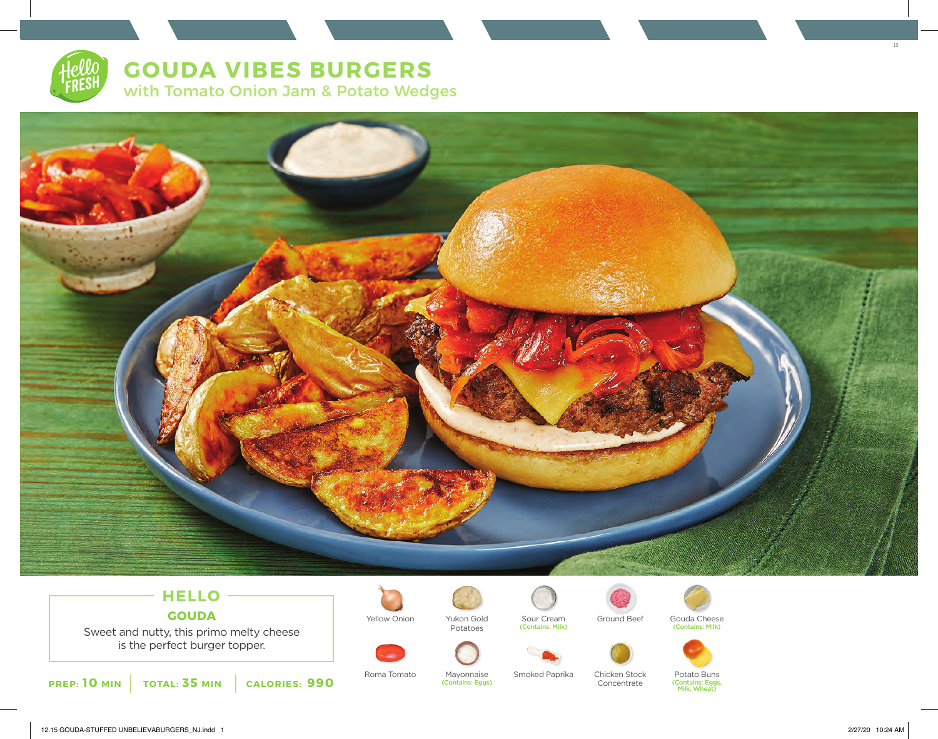# **GOUDA VIBES BURGERS**

with Tomato Onion Jam & Potato Wedges



## **HELLO GOUDA**

Sweet and nutty, this primo melty cheese is the perfect burger topper.













(Contains: Eggs, Milk, Wheat)



Roma Tomato Mayonnaise Smoked Paprika Chicken Stock (Contains: Eggs)

Concentrate

15